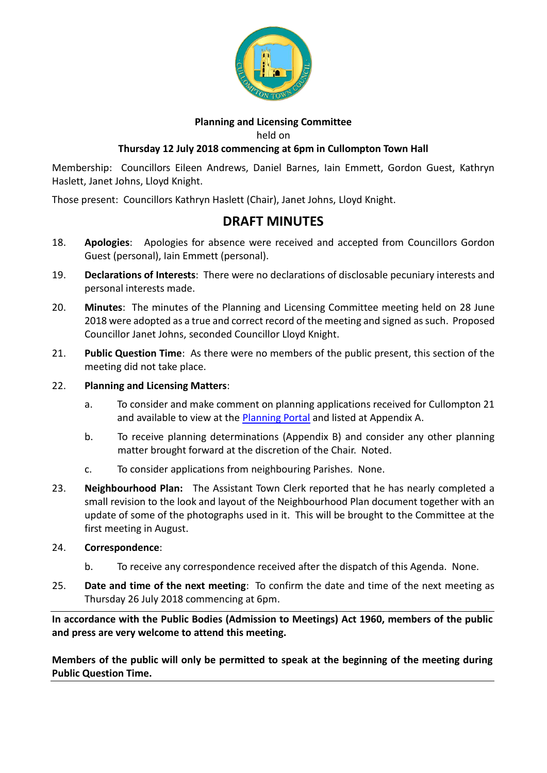

#### **Planning and Licensing Committee**

held on

## **Thursday 12 July 2018 commencing at 6pm in Cullompton Town Hall**

Membership: Councillors Eileen Andrews, Daniel Barnes, Iain Emmett, Gordon Guest, Kathryn Haslett, Janet Johns, Lloyd Knight.

Those present: Councillors Kathryn Haslett (Chair), Janet Johns, Lloyd Knight.

# **DRAFT MINUTES**

- 18. **Apologies**: Apologies for absence were received and accepted from Councillors Gordon Guest (personal), Iain Emmett (personal).
- 19. **Declarations of Interests**: There were no declarations of disclosable pecuniary interests and personal interests made.
- 20. **Minutes**: The minutes of the Planning and Licensing Committee meeting held on 28 June 2018 were adopted as a true and correct record of the meeting and signed as such. Proposed Councillor Janet Johns, seconded Councillor Lloyd Knight.
- 21. **Public Question Time**: As there were no members of the public present, this section of the meeting did not take place.
- 22. **Planning and Licensing Matters**:
	- a. To consider and make comment on planning applications received for Cullompton 21 and available to view at the [Planning Portal](https://planning.middevon.gov.uk/online-applications/search.do?action=simple&searchType=BuildingControl) and listed at Appendix A.
	- b. To receive planning determinations (Appendix B) and consider any other planning matter brought forward at the discretion of the Chair. Noted.
	- c. To consider applications from neighbouring Parishes. None.
- 23. **Neighbourhood Plan:** The Assistant Town Clerk reported that he has nearly completed a small revision to the look and layout of the Neighbourhood Plan document together with an update of some of the photographs used in it. This will be brought to the Committee at the first meeting in August.

### 24. **Correspondence**:

- b. To receive any correspondence received after the dispatch of this Agenda. None.
- 25. **Date and time of the next meeting**: To confirm the date and time of the next meeting as Thursday 26 July 2018 commencing at 6pm.

**In accordance with the Public Bodies (Admission to Meetings) Act 1960, members of the public and press are very welcome to attend this meeting.**

**Members of the public will only be permitted to speak at the beginning of the meeting during Public Question Time.**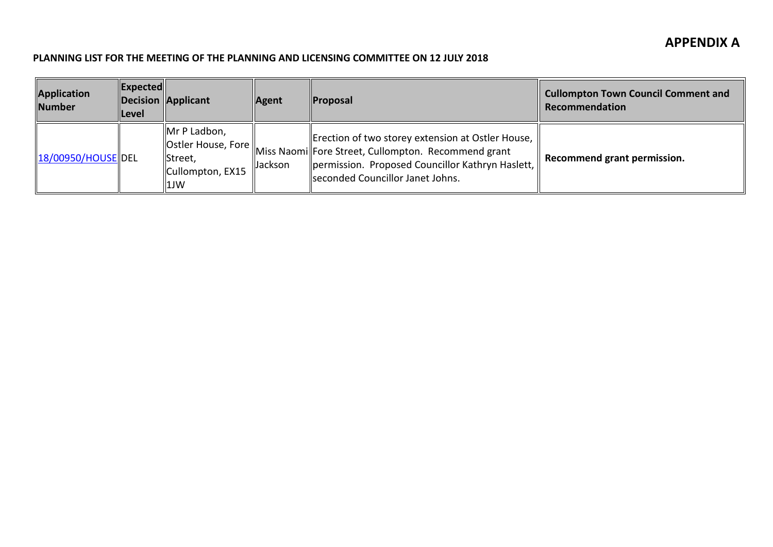#### **PLANNING LIST FOR THE MEETING OF THE PLANNING AND LICENSING COMMITTEE ON 12 JULY 2018**

| Application<br><b>Number</b> | $\ $ Expected $\ $<br><b>Level</b> | Decision Applicant                                                                             | Agent   | <b>Proposal</b>                                                                                                                                                                                      | <b>Cullompton Town Council Comment and</b><br>Recommendation |
|------------------------------|------------------------------------|------------------------------------------------------------------------------------------------|---------|------------------------------------------------------------------------------------------------------------------------------------------------------------------------------------------------------|--------------------------------------------------------------|
| 18/00950/HOUSE DEL           |                                    | Mr P Ladbon,<br>$\vert$ Ostler House, Fore $\vert \vert$<br>Street,<br>Cullompton, EX15<br>1JW | Jackson | Erection of two storey extension at Ostler House,   <br>Miss Naomi Fore Street, Cullompton. Recommend grant<br>permission. Proposed Councillor Kathryn Haslett,<br>Iseconded Councillor Janet Johns. | Recommend grant permission.                                  |